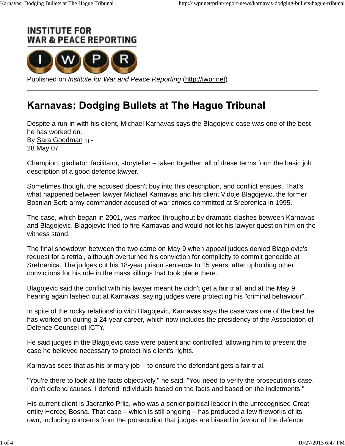



Published on *Institute for War and Peace Reporting* (http://iwpr.net)

## **Karnavas: Dodging Bullets at The Hague Tribunal**

Despite a run-in with his client, Michael Karnavas says the Blagojevic case was one of the best he has worked on. By Sara Goodman [1] -28 May 07

Champion, gladiator, facilitator, storyteller – taken together, all of these terms form the basic job description of a good defence lawyer.

Sometimes though, the accused doesn't buy into this description, and conflict ensues. That's what happened between lawyer Michael Karnavas and his client Vidoje Blagojevic, the former Bosnian Serb army commander accused of war crimes committed at Srebrenica in 1995.

The case, which began in 2001, was marked throughout by dramatic clashes between Karnavas and Blagojevic. Blagojevic tried to fire Karnavas and would not let his lawyer question him on the witness stand.

The final showdown between the two came on May 9 when appeal judges denied Blagojevic's request for a retrial, although overturned his conviction for complicity to commit genocide at Srebrenica. The judges cut his 18-year prison sentence to 15 years, after upholding other convictions for his role in the mass killings that took place there.

Blagojevic said the conflict with his lawyer meant he didn't get a fair trial, and at the May 9 hearing again lashed out at Karnavas, saying judges were protecting his "criminal behaviour".

In spite of the rocky relationship with Blagojevic, Karnavas says the case was one of the best he has worked on during a 24-year career, which now includes the presidency of the Association of Defence Counsel of ICTY.

He said judges in the Blagojevic case were patient and controlled, allowing him to present the case he believed necessary to protect his client's rights.

Karnavas sees that as his primary job – to ensure the defendant gets a fair trial.

"You're there to look at the facts objectively," he said. "You need to verify the prosecution's case. I don't defend causes. I defend individuals based on the facts and based on the indictments."

His current client is Jadranko Prlic, who was a senior political leader in the unrecognised Croat entity Herceg Bosna. That case – which is still ongoing – has produced a few fireworks of its own, including concerns from the prosecution that judges are biased in favour of the defence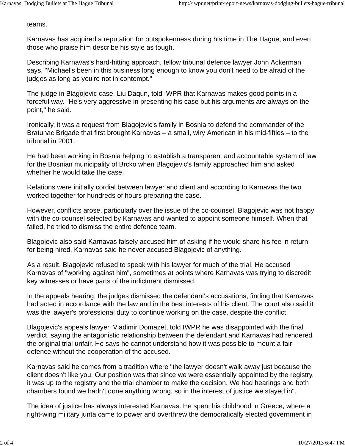teams.

Karnavas has acquired a reputation for outspokenness during his time in The Hague, and even those who praise him describe his style as tough.

Describing Karnavas's hard-hitting approach, fellow tribunal defence lawyer John Ackerman says, "Michael's been in this business long enough to know you don't need to be afraid of the judges as long as you're not in contempt."

The judge in Blagojevic case, Liu Daqun, told IWPR that Karnavas makes good points in a forceful way. "He's very aggressive in presenting his case but his arguments are always on the point," he said.

Ironically, it was a request from Blagojevic's family in Bosnia to defend the commander of the Bratunac Brigade that first brought Karnavas – a small, wiry American in his mid-fifties – to the tribunal in 2001.

He had been working in Bosnia helping to establish a transparent and accountable system of law for the Bosnian municipality of Brcko when Blagojevic's family approached him and asked whether he would take the case.

Relations were initially cordial between lawyer and client and according to Karnavas the two worked together for hundreds of hours preparing the case.

However, conflicts arose, particularly over the issue of the co-counsel. Blagojevic was not happy with the co-counsel selected by Karnavas and wanted to appoint someone himself. When that failed, he tried to dismiss the entire defence team.

Blagojevic also said Karnavas falsely accused him of asking if he would share his fee in return for being hired. Karnavas said he never accused Blagojevic of anything.

As a result, Blagojevic refused to speak with his lawyer for much of the trial. He accused Karnavas of "working against him", sometimes at points where Karnavas was trying to discredit key witnesses or have parts of the indictment dismissed.

In the appeals hearing, the judges dismissed the defendant's accusations, finding that Karnavas had acted in accordance with the law and in the best interests of his client. The court also said it was the lawyer's professional duty to continue working on the case, despite the conflict.

Blagojevic's appeals lawyer, Vladimir Domazet, told IWPR he was disappointed with the final verdict, saying the antagonistic relationship between the defendant and Karnavas had rendered the original trial unfair. He says he cannot understand how it was possible to mount a fair defence without the cooperation of the accused.

Karnavas said he comes from a tradition where "the lawyer doesn't walk away just because the client doesn't like you. Our position was that since we were essentially appointed by the registry, it was up to the registry and the trial chamber to make the decision. We had hearings and both chambers found we hadn't done anything wrong, so in the interest of justice we stayed in".

The idea of justice has always interested Karnavas. He spent his childhood in Greece, where a right-wing military junta came to power and overthrew the democratically elected government in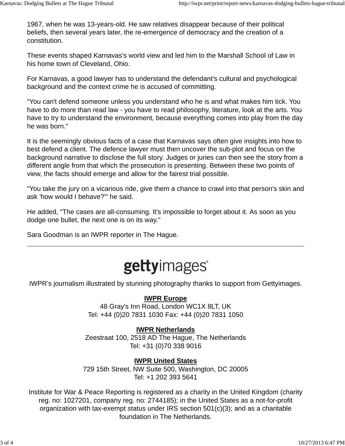1967, when he was 13-years-old. He saw relatives disappear because of their political beliefs, then several years later, the re-emergence of democracy and the creation of a constitution.

These events shaped Karnavas's world view and led him to the Marshall School of Law in his home town of Cleveland, Ohio.

For Karnavas, a good lawyer has to understand the defendant's cultural and psychological background and the context crime he is accused of committing.

"You can't defend someone unless you understand who he is and what makes him tick. You have to do more than read law - you have to read philosophy, literature, look at the arts. You have to try to understand the environment, because everything comes into play from the day he was born."

It is the seemingly obvious facts of a case that Karnavas says often give insights into how to best defend a client. The defence lawyer must then uncover the sub-plot and focus on the background narrative to disclose the full story. Judges or juries can then see the story from a different angle from that which the prosecution is presenting. Between these two points of view, the facts should emerge and allow for the fairest trial possible.

"You take the jury on a vicarious ride, give them a chance to crawl into that person's skin and ask 'how would I behave?'" he said.

He added, "The cases are all-consuming. It's impossible to forget about it. As soon as you dodge one bullet, the next one is on its way."

Sara Goodman is an IWPR reporter in The Hague.

# gettyimages

IWPR's journalism illustrated by stunning photography thanks to support from Gettyimages.

### **IWPR Europe**

48 Gray's Inn Road, London WC1X 8LT, UK Tel: +44 (0)20 7831 1030 Fax: +44 (0)20 7831 1050

### **IWPR Netherlands**

Zeestraat 100, 2518 AD The Hague, The Netherlands Tel: +31 (0)70 338 9016

### **IWPR United States**

729 15th Street, NW Suite 500, Washington, DC 20005 Tel: +1 202 393 5641

Institute for War & Peace Reporting is registered as a charity in the United Kingdom (charity reg. no: 1027201, company reg. no: 2744185); in the United States as a not-for-profit organization with tax-exempt status under IRS section 501(c)(3); and as a charitable foundation in The Netherlands.